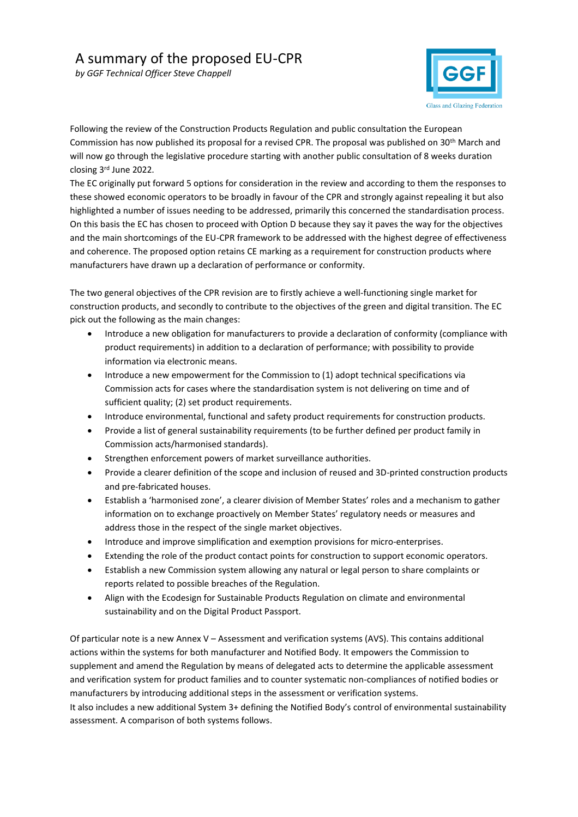*by GGF Technical Officer Steve Chappell* 



Following the review of the Construction Products Regulation and public consultation the European Commission has now published its proposal for a revised CPR. The proposal was published on 30th March and will now go through the legislative procedure starting with another public consultation of 8 weeks duration closing 3rd June 2022.

The EC originally put forward 5 options for consideration in the review and according to them the responses to these showed economic operators to be broadly in favour of the CPR and strongly against repealing it but also highlighted a number of issues needing to be addressed, primarily this concerned the standardisation process. On this basis the EC has chosen to proceed with Option D because they say it paves the way for the objectives and the main shortcomings of the EU-CPR framework to be addressed with the highest degree of effectiveness and coherence. The proposed option retains CE marking as a requirement for construction products where manufacturers have drawn up a declaration of performance or conformity.

The two general objectives of the CPR revision are to firstly achieve a well-functioning single market for construction products, and secondly to contribute to the objectives of the green and digital transition. The EC pick out the following as the main changes:

- Introduce a new obligation for manufacturers to provide a declaration of conformity (compliance with product requirements) in addition to a declaration of performance; with possibility to provide information via electronic means.
- Introduce a new empowerment for the Commission to (1) adopt technical specifications via Commission acts for cases where the standardisation system is not delivering on time and of sufficient quality; (2) set product requirements.
- Introduce environmental, functional and safety product requirements for construction products.
- Provide a list of general sustainability requirements (to be further defined per product family in Commission acts/harmonised standards).
- Strengthen enforcement powers of market surveillance authorities.
- Provide a clearer definition of the scope and inclusion of reused and 3D-printed construction products and pre-fabricated houses.
- Establish a 'harmonised zone', a clearer division of Member States' roles and a mechanism to gather information on to exchange proactively on Member States' regulatory needs or measures and address those in the respect of the single market objectives.
- Introduce and improve simplification and exemption provisions for micro-enterprises.
- Extending the role of the product contact points for construction to support economic operators.
- Establish a new Commission system allowing any natural or legal person to share complaints or reports related to possible breaches of the Regulation.
- Align with the Ecodesign for Sustainable Products Regulation on climate and environmental sustainability and on the Digital Product Passport.

Of particular note is a new Annex V – Assessment and verification systems (AVS). This contains additional actions within the systems for both manufacturer and Notified Body. It empowers the Commission to supplement and amend the Regulation by means of delegated acts to determine the applicable assessment and verification system for product families and to counter systematic non-compliances of notified bodies or manufacturers by introducing additional steps in the assessment or verification systems.

It also includes a new additional System 3+ defining the Notified Body's control of environmental sustainability assessment. A comparison of both systems follows.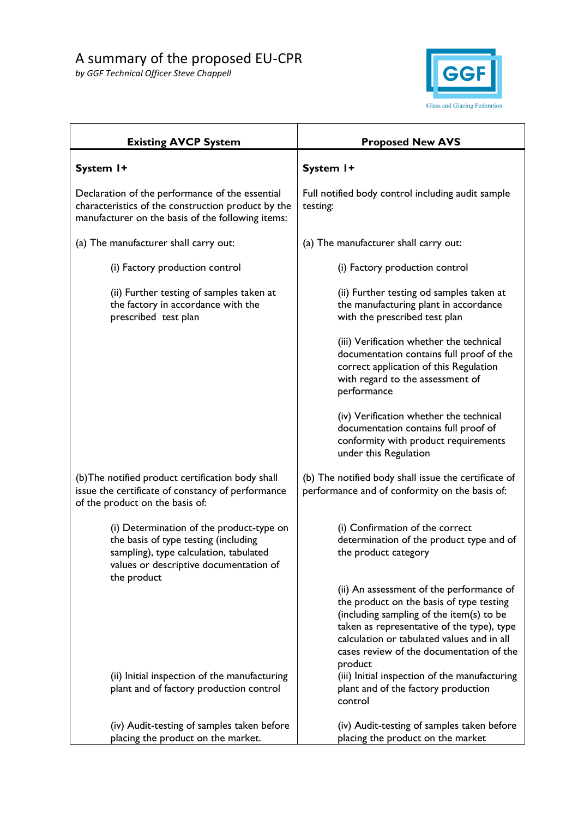

| <b>Existing AVCP System</b>                                                                                                                                                         | <b>Proposed New AVS</b>                                                                                                                                                                                                                                                                                                                                                     |
|-------------------------------------------------------------------------------------------------------------------------------------------------------------------------------------|-----------------------------------------------------------------------------------------------------------------------------------------------------------------------------------------------------------------------------------------------------------------------------------------------------------------------------------------------------------------------------|
| System I+                                                                                                                                                                           | System I+                                                                                                                                                                                                                                                                                                                                                                   |
| Declaration of the performance of the essential<br>characteristics of the construction product by the<br>manufacturer on the basis of the following items:                          | Full notified body control including audit sample<br>testing:                                                                                                                                                                                                                                                                                                               |
| (a) The manufacturer shall carry out:                                                                                                                                               | (a) The manufacturer shall carry out:                                                                                                                                                                                                                                                                                                                                       |
| (i) Factory production control                                                                                                                                                      | (i) Factory production control                                                                                                                                                                                                                                                                                                                                              |
| (ii) Further testing of samples taken at<br>the factory in accordance with the<br>prescribed test plan                                                                              | (ii) Further testing od samples taken at<br>the manufacturing plant in accordance<br>with the prescribed test plan                                                                                                                                                                                                                                                          |
|                                                                                                                                                                                     | (iii) Verification whether the technical<br>documentation contains full proof of the<br>correct application of this Regulation<br>with regard to the assessment of<br>performance                                                                                                                                                                                           |
|                                                                                                                                                                                     | (iv) Verification whether the technical<br>documentation contains full proof of<br>conformity with product requirements<br>under this Regulation                                                                                                                                                                                                                            |
| (b) The notified product certification body shall<br>issue the certificate of constancy of performance<br>of the product on the basis of:                                           | (b) The notified body shall issue the certificate of<br>performance and of conformity on the basis of:                                                                                                                                                                                                                                                                      |
| (i) Determination of the product-type on<br>the basis of type testing (including<br>sampling), type calculation, tabulated<br>values or descriptive documentation of<br>the product | (i) Confirmation of the correct<br>determination of the product type and of<br>the product category                                                                                                                                                                                                                                                                         |
| (ii) Initial inspection of the manufacturing<br>plant and of factory production control                                                                                             | (ii) An assessment of the performance of<br>the product on the basis of type testing<br>(including sampling of the item(s) to be<br>taken as representative of the type), type<br>calculation or tabulated values and in all<br>cases review of the documentation of the<br>product<br>(iii) Initial inspection of the manufacturing<br>plant and of the factory production |
|                                                                                                                                                                                     | control                                                                                                                                                                                                                                                                                                                                                                     |
| (iv) Audit-testing of samples taken before<br>placing the product on the market.                                                                                                    | (iv) Audit-testing of samples taken before<br>placing the product on the market                                                                                                                                                                                                                                                                                             |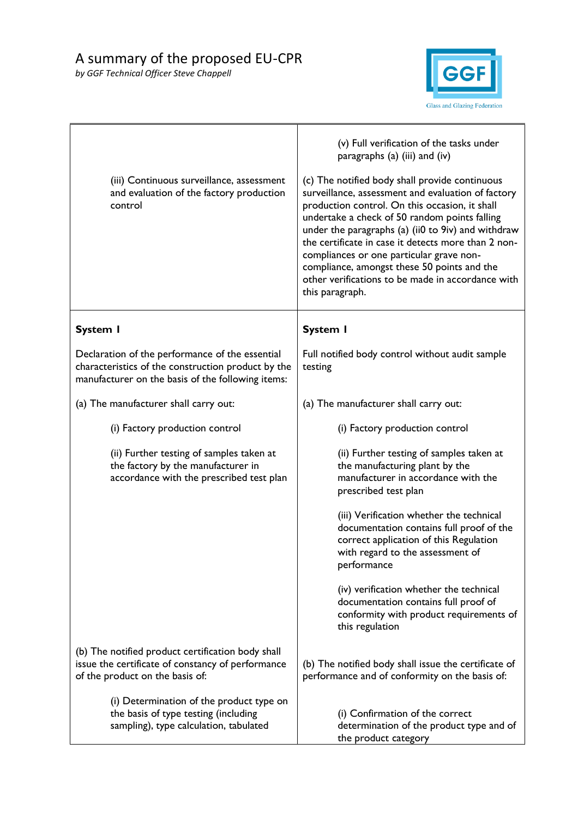

| (iii) Continuous surveillance, assessment<br>and evaluation of the factory production<br>control                                                           | (v) Full verification of the tasks under<br>paragraphs (a) (iii) and (iv)<br>(c) The notified body shall provide continuous<br>surveillance, assessment and evaluation of factory<br>production control. On this occasion, it shall<br>undertake a check of 50 random points falling<br>under the paragraphs (a) (ii0 to 9iv) and withdraw<br>the certificate in case it detects more than 2 non-<br>compliances or one particular grave non-<br>compliance, amongst these 50 points and the<br>other verifications to be made in accordance with<br>this paragraph. |
|------------------------------------------------------------------------------------------------------------------------------------------------------------|----------------------------------------------------------------------------------------------------------------------------------------------------------------------------------------------------------------------------------------------------------------------------------------------------------------------------------------------------------------------------------------------------------------------------------------------------------------------------------------------------------------------------------------------------------------------|
| <b>System I</b>                                                                                                                                            | <b>System I</b>                                                                                                                                                                                                                                                                                                                                                                                                                                                                                                                                                      |
| Declaration of the performance of the essential<br>characteristics of the construction product by the<br>manufacturer on the basis of the following items: | Full notified body control without audit sample<br>testing                                                                                                                                                                                                                                                                                                                                                                                                                                                                                                           |
| (a) The manufacturer shall carry out:                                                                                                                      | (a) The manufacturer shall carry out:                                                                                                                                                                                                                                                                                                                                                                                                                                                                                                                                |
| (i) Factory production control                                                                                                                             | (i) Factory production control                                                                                                                                                                                                                                                                                                                                                                                                                                                                                                                                       |
| (ii) Further testing of samples taken at<br>the factory by the manufacturer in<br>accordance with the prescribed test plan                                 | (ii) Further testing of samples taken at<br>the manufacturing plant by the<br>manufacturer in accordance with the<br>prescribed test plan                                                                                                                                                                                                                                                                                                                                                                                                                            |
|                                                                                                                                                            | (iii) Verification whether the technical<br>documentation contains full proof of the<br>correct application of this Regulation<br>with regard to the assessment of<br>performance                                                                                                                                                                                                                                                                                                                                                                                    |
|                                                                                                                                                            | (iv) verification whether the technical<br>documentation contains full proof of<br>conformity with product requirements of<br>this regulation                                                                                                                                                                                                                                                                                                                                                                                                                        |
| (b) The notified product certification body shall<br>issue the certificate of constancy of performance<br>of the product on the basis of:                  | (b) The notified body shall issue the certificate of<br>performance and of conformity on the basis of:                                                                                                                                                                                                                                                                                                                                                                                                                                                               |
| (i) Determination of the product type on<br>the basis of type testing (including<br>sampling), type calculation, tabulated                                 | (i) Confirmation of the correct<br>determination of the product type and of<br>the product category                                                                                                                                                                                                                                                                                                                                                                                                                                                                  |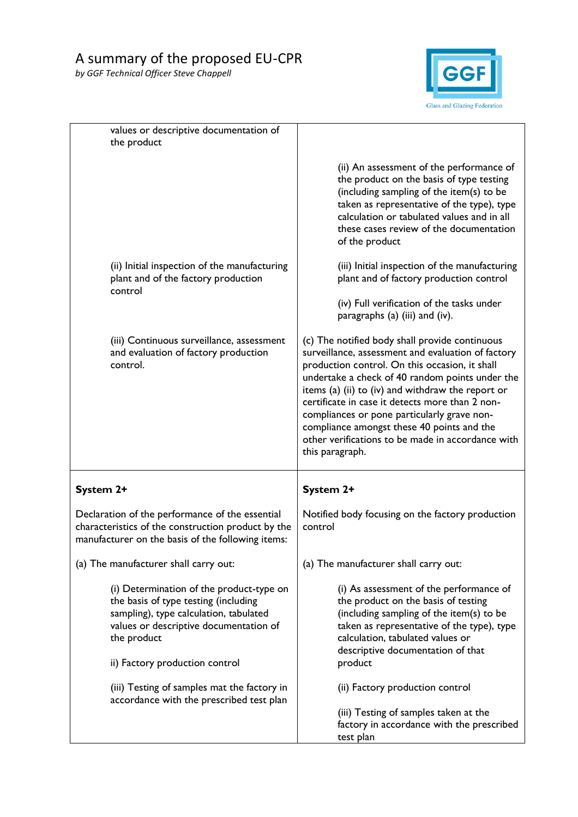

| values or descriptive documentation of<br>the product                                                                                                                                                                 |                                                                                                                                                                                                                                                                                                                                                                                                                                                                                        |
|-----------------------------------------------------------------------------------------------------------------------------------------------------------------------------------------------------------------------|----------------------------------------------------------------------------------------------------------------------------------------------------------------------------------------------------------------------------------------------------------------------------------------------------------------------------------------------------------------------------------------------------------------------------------------------------------------------------------------|
|                                                                                                                                                                                                                       | (ii) An assessment of the performance of<br>the product on the basis of type testing<br>(including sampling of the item(s) to be<br>taken as representative of the type), type<br>calculation or tabulated values and in all<br>these cases review of the documentation<br>of the product                                                                                                                                                                                              |
| (ii) Initial inspection of the manufacturing<br>plant and of the factory production<br>control                                                                                                                        | (iii) Initial inspection of the manufacturing<br>plant and of factory production control                                                                                                                                                                                                                                                                                                                                                                                               |
|                                                                                                                                                                                                                       | (iv) Full verification of the tasks under<br>paragraphs (a) (iii) and (iv).                                                                                                                                                                                                                                                                                                                                                                                                            |
| (iii) Continuous surveillance, assessment<br>and evaluation of factory production<br>control.                                                                                                                         | (c) The notified body shall provide continuous<br>surveillance, assessment and evaluation of factory<br>production control. On this occasion, it shall<br>undertake a check of 40 random points under the<br>items (a) (ii) to (iv) and withdraw the report or<br>certificate in case it detects more than 2 non-<br>compliances or pone particularly grave non-<br>compliance amongst these 40 points and the<br>other verifications to be made in accordance with<br>this paragraph. |
| System 2+                                                                                                                                                                                                             | System 2+                                                                                                                                                                                                                                                                                                                                                                                                                                                                              |
| Declaration of the performance of the essential<br>characteristics of the construction product by the<br>manufacturer on the basis of the following items:                                                            | Notified body focusing on the factory production<br>control                                                                                                                                                                                                                                                                                                                                                                                                                            |
| (a) The manufacturer shall carry out:                                                                                                                                                                                 | (a) The manufacturer shall carry out:                                                                                                                                                                                                                                                                                                                                                                                                                                                  |
| (i) Determination of the product-type on<br>the basis of type testing (including<br>sampling), type calculation, tabulated<br>values or descriptive documentation of<br>the product<br>ii) Factory production control | (i) As assessment of the performance of<br>the product on the basis of testing<br>(including sampling of the item(s) to be<br>taken as representative of the type), type<br>calculation, tabulated values or<br>descriptive documentation of that<br>product                                                                                                                                                                                                                           |
| (iii) Testing of samples mat the factory in<br>accordance with the prescribed test plan                                                                                                                               | (ii) Factory production control<br>(iii) Testing of samples taken at the<br>factory in accordance with the prescribed<br>test plan                                                                                                                                                                                                                                                                                                                                                     |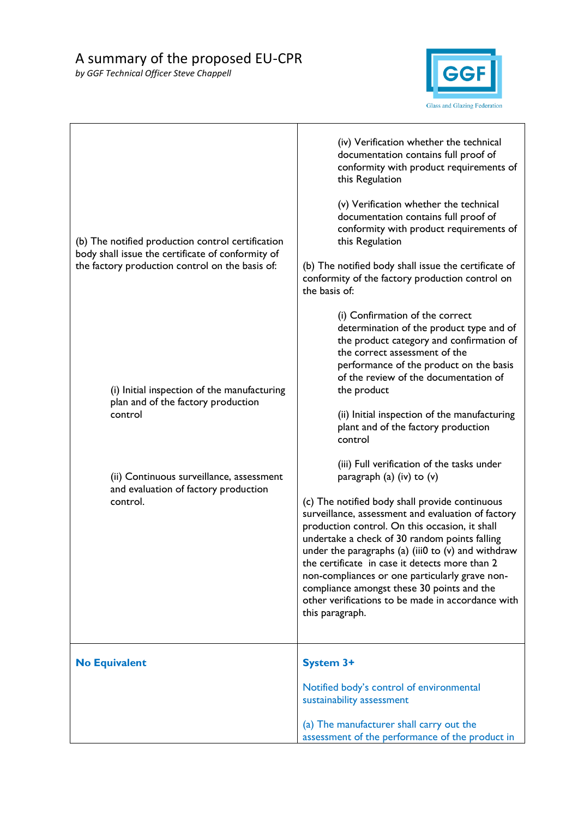

| (b) The notified production control certification<br>body shall issue the certificate of conformity of<br>the factory production control on the basis of: | (iv) Verification whether the technical<br>documentation contains full proof of<br>conformity with product requirements of<br>this Regulation<br>(v) Verification whether the technical<br>documentation contains full proof of<br>conformity with product requirements of<br>this Regulation<br>(b) The notified body shall issue the certificate of<br>conformity of the factory production control on<br>the basis of:                                                                                                                                            |
|-----------------------------------------------------------------------------------------------------------------------------------------------------------|----------------------------------------------------------------------------------------------------------------------------------------------------------------------------------------------------------------------------------------------------------------------------------------------------------------------------------------------------------------------------------------------------------------------------------------------------------------------------------------------------------------------------------------------------------------------|
| (i) Initial inspection of the manufacturing<br>plan and of the factory production<br>control                                                              | (i) Confirmation of the correct<br>determination of the product type and of<br>the product category and confirmation of<br>the correct assessment of the<br>performance of the product on the basis<br>of the review of the documentation of<br>the product<br>(ii) Initial inspection of the manufacturing<br>plant and of the factory production<br>control                                                                                                                                                                                                        |
| (ii) Continuous surveillance, assessment<br>and evaluation of factory production<br>control.                                                              | (iii) Full verification of the tasks under<br>paragraph (a) (iv) to (v)<br>(c) The notified body shall provide continuous<br>surveillance, assessment and evaluation of factory<br>production control. On this occasion, it shall<br>undertake a check of 30 random points falling<br>under the paragraphs (a) (iii0 to $(v)$ and withdraw<br>the certificate in case it detects more than 2<br>non-compliances or one particularly grave non-<br>compliance amongst these 30 points and the<br>other verifications to be made in accordance with<br>this paragraph. |
| <b>No Equivalent</b>                                                                                                                                      | <b>System 3+</b><br>Notified body's control of environmental<br>sustainability assessment<br>(a) The manufacturer shall carry out the<br>assessment of the performance of the product in                                                                                                                                                                                                                                                                                                                                                                             |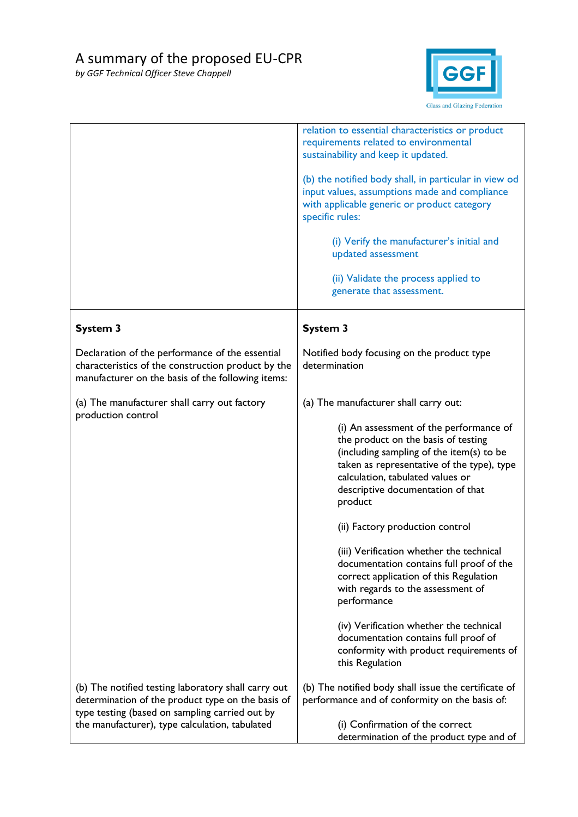

|                                                                                                                                                            | relation to essential characteristics or product<br>requirements related to environmental<br>sustainability and keep it updated.                                                                                                                             |
|------------------------------------------------------------------------------------------------------------------------------------------------------------|--------------------------------------------------------------------------------------------------------------------------------------------------------------------------------------------------------------------------------------------------------------|
|                                                                                                                                                            | (b) the notified body shall, in particular in view od<br>input values, assumptions made and compliance<br>with applicable generic or product category<br>specific rules:                                                                                     |
|                                                                                                                                                            | (i) Verify the manufacturer's initial and<br>updated assessment                                                                                                                                                                                              |
|                                                                                                                                                            | (ii) Validate the process applied to<br>generate that assessment.                                                                                                                                                                                            |
| <b>System 3</b>                                                                                                                                            | <b>System 3</b>                                                                                                                                                                                                                                              |
| Declaration of the performance of the essential<br>characteristics of the construction product by the<br>manufacturer on the basis of the following items: | Notified body focusing on the product type<br>determination                                                                                                                                                                                                  |
| (a) The manufacturer shall carry out factory<br>production control                                                                                         | (a) The manufacturer shall carry out:                                                                                                                                                                                                                        |
|                                                                                                                                                            | (i) An assessment of the performance of<br>the product on the basis of testing<br>(including sampling of the item(s) to be<br>taken as representative of the type), type<br>calculation, tabulated values or<br>descriptive documentation of that<br>product |
|                                                                                                                                                            | (ii) Factory production control                                                                                                                                                                                                                              |
|                                                                                                                                                            | (iii) Verification whether the technical<br>documentation contains full proof of the<br>correct application of this Regulation<br>with regards to the assessment of<br>performance                                                                           |
|                                                                                                                                                            | (iv) Verification whether the technical<br>documentation contains full proof of<br>conformity with product requirements of<br>this Regulation                                                                                                                |
| (b) The notified testing laboratory shall carry out<br>determination of the product type on the basis of<br>type testing (based on sampling carried out by | (b) The notified body shall issue the certificate of<br>performance and of conformity on the basis of:                                                                                                                                                       |
| the manufacturer), type calculation, tabulated                                                                                                             | (i) Confirmation of the correct<br>determination of the product type and of                                                                                                                                                                                  |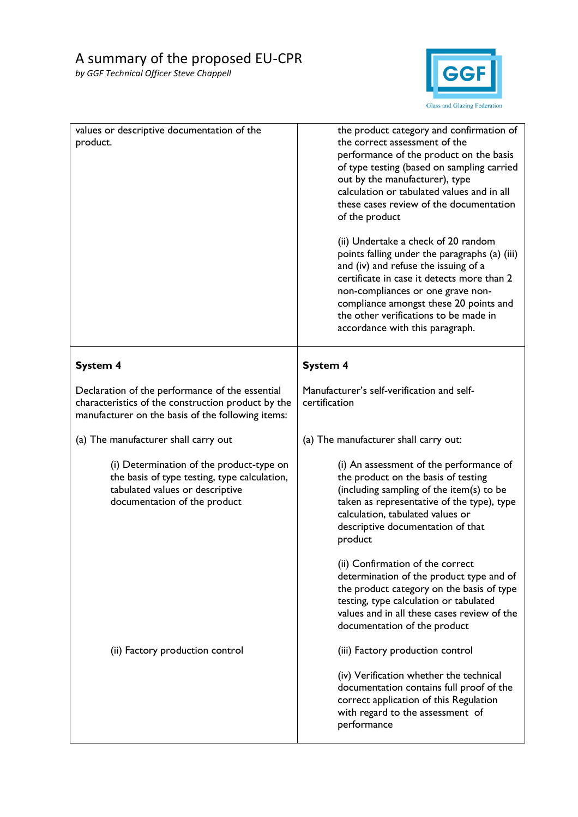

| values or descriptive documentation of the<br>product.                                                                                                      | the product category and confirmation of<br>the correct assessment of the<br>performance of the product on the basis<br>of type testing (based on sampling carried<br>out by the manufacturer), type<br>calculation or tabulated values and in all<br>these cases review of the documentation<br>of the product<br>(ii) Undertake a check of 20 random<br>points falling under the paragraphs (a) (iii)<br>and (iv) and refuse the issuing of a<br>certificate in case it detects more than 2<br>non-compliances or one grave non-<br>compliance amongst these 20 points and<br>the other verifications to be made in<br>accordance with this paragraph. |
|-------------------------------------------------------------------------------------------------------------------------------------------------------------|----------------------------------------------------------------------------------------------------------------------------------------------------------------------------------------------------------------------------------------------------------------------------------------------------------------------------------------------------------------------------------------------------------------------------------------------------------------------------------------------------------------------------------------------------------------------------------------------------------------------------------------------------------|
| <b>System 4</b>                                                                                                                                             | <b>System 4</b>                                                                                                                                                                                                                                                                                                                                                                                                                                                                                                                                                                                                                                          |
| Declaration of the performance of the essential<br>characteristics of the construction product by the<br>manufacturer on the basis of the following items:  | Manufacturer's self-verification and self-<br>certification                                                                                                                                                                                                                                                                                                                                                                                                                                                                                                                                                                                              |
| (a) The manufacturer shall carry out                                                                                                                        | (a) The manufacturer shall carry out:                                                                                                                                                                                                                                                                                                                                                                                                                                                                                                                                                                                                                    |
| (i) Determination of the product-type on<br>the basis of type testing, type calculation,<br>tabulated values or descriptive<br>documentation of the product | (i) An assessment of the performance of<br>the product on the basis of testing<br>(including sampling of the item(s) to be<br>taken as representative of the type), type<br>calculation, tabulated values or<br>descriptive documentation of that<br>product                                                                                                                                                                                                                                                                                                                                                                                             |
|                                                                                                                                                             | (ii) Confirmation of the correct<br>determination of the product type and of<br>the product category on the basis of type<br>testing, type calculation or tabulated<br>values and in all these cases review of the<br>documentation of the product                                                                                                                                                                                                                                                                                                                                                                                                       |
| (ii) Factory production control                                                                                                                             | (iii) Factory production control                                                                                                                                                                                                                                                                                                                                                                                                                                                                                                                                                                                                                         |
|                                                                                                                                                             | (iv) Verification whether the technical<br>documentation contains full proof of the<br>correct application of this Regulation<br>with regard to the assessment of<br>performance                                                                                                                                                                                                                                                                                                                                                                                                                                                                         |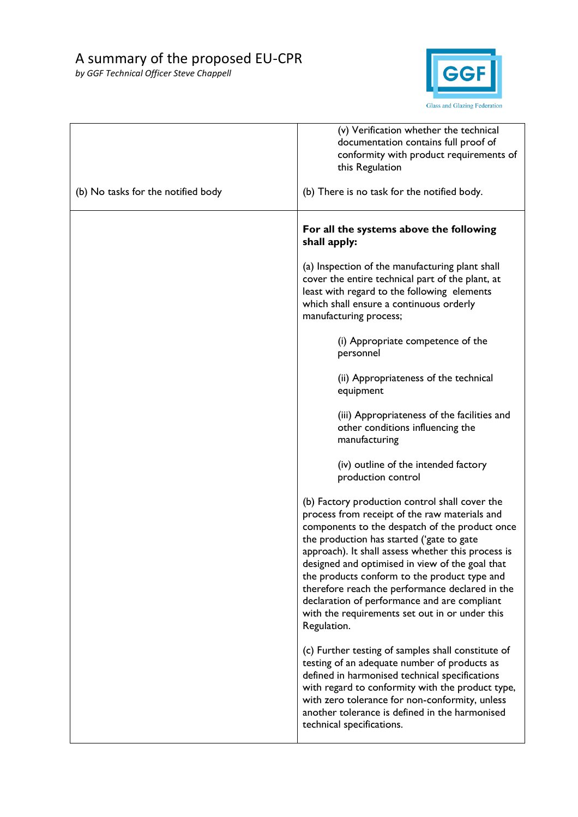

|                                    | (v) Verification whether the technical<br>documentation contains full proof of<br>conformity with product requirements of<br>this Regulation                                                                                                                                                                                                                                                                                                                                                                                |
|------------------------------------|-----------------------------------------------------------------------------------------------------------------------------------------------------------------------------------------------------------------------------------------------------------------------------------------------------------------------------------------------------------------------------------------------------------------------------------------------------------------------------------------------------------------------------|
| (b) No tasks for the notified body | (b) There is no task for the notified body.                                                                                                                                                                                                                                                                                                                                                                                                                                                                                 |
|                                    | For all the systems above the following<br>shall apply:                                                                                                                                                                                                                                                                                                                                                                                                                                                                     |
|                                    | (a) Inspection of the manufacturing plant shall<br>cover the entire technical part of the plant, at<br>least with regard to the following elements<br>which shall ensure a continuous orderly<br>manufacturing process;                                                                                                                                                                                                                                                                                                     |
|                                    | (i) Appropriate competence of the<br>personnel                                                                                                                                                                                                                                                                                                                                                                                                                                                                              |
|                                    | (ii) Appropriateness of the technical<br>equipment                                                                                                                                                                                                                                                                                                                                                                                                                                                                          |
|                                    | (iii) Appropriateness of the facilities and<br>other conditions influencing the<br>manufacturing                                                                                                                                                                                                                                                                                                                                                                                                                            |
|                                    | (iv) outline of the intended factory<br>production control                                                                                                                                                                                                                                                                                                                                                                                                                                                                  |
|                                    | (b) Factory production control shall cover the<br>process from receipt of the raw materials and<br>components to the despatch of the product once<br>the production has started ('gate to gate<br>approach). It shall assess whether this process is<br>designed and optimised in view of the goal that<br>the products conform to the product type and<br>therefore reach the performance declared in the<br>declaration of performance and are compliant<br>with the requirements set out in or under this<br>Regulation. |
|                                    | (c) Further testing of samples shall constitute of<br>testing of an adequate number of products as<br>defined in harmonised technical specifications<br>with regard to conformity with the product type,<br>with zero tolerance for non-conformity, unless<br>another tolerance is defined in the harmonised<br>technical specifications.                                                                                                                                                                                   |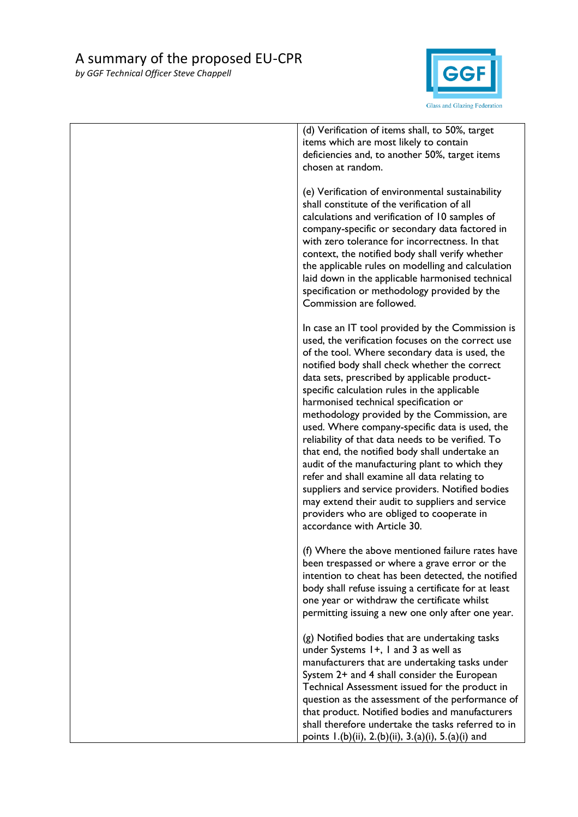

| (d) Verification of items shall, to 50%, target<br>items which are most likely to contain<br>deficiencies and, to another 50%, target items<br>chosen at random.                                                                                                                                                                                                                                                                                                                                                                                                                                                                                                                                                                                                                                                                               |
|------------------------------------------------------------------------------------------------------------------------------------------------------------------------------------------------------------------------------------------------------------------------------------------------------------------------------------------------------------------------------------------------------------------------------------------------------------------------------------------------------------------------------------------------------------------------------------------------------------------------------------------------------------------------------------------------------------------------------------------------------------------------------------------------------------------------------------------------|
| (e) Verification of environmental sustainability<br>shall constitute of the verification of all<br>calculations and verification of 10 samples of<br>company-specific or secondary data factored in<br>with zero tolerance for incorrectness. In that<br>context, the notified body shall verify whether<br>the applicable rules on modelling and calculation<br>laid down in the applicable harmonised technical<br>specification or methodology provided by the<br>Commission are followed.                                                                                                                                                                                                                                                                                                                                                  |
| In case an IT tool provided by the Commission is<br>used, the verification focuses on the correct use<br>of the tool. Where secondary data is used, the<br>notified body shall check whether the correct<br>data sets, prescribed by applicable product-<br>specific calculation rules in the applicable<br>harmonised technical specification or<br>methodology provided by the Commission, are<br>used. Where company-specific data is used, the<br>reliability of that data needs to be verified. To<br>that end, the notified body shall undertake an<br>audit of the manufacturing plant to which they<br>refer and shall examine all data relating to<br>suppliers and service providers. Notified bodies<br>may extend their audit to suppliers and service<br>providers who are obliged to cooperate in<br>accordance with Article 30. |
| (f) Where the above mentioned failure rates have<br>been trespassed or where a grave error or the<br>intention to cheat has been detected, the notified<br>body shall refuse issuing a certificate for at least<br>one year or withdraw the certificate whilst<br>permitting issuing a new one only after one year.                                                                                                                                                                                                                                                                                                                                                                                                                                                                                                                            |
| (g) Notified bodies that are undertaking tasks<br>under Systems 1+, 1 and 3 as well as<br>manufacturers that are undertaking tasks under<br>System 2+ and 4 shall consider the European<br>Technical Assessment issued for the product in<br>question as the assessment of the performance of<br>that product. Notified bodies and manufacturers<br>shall therefore undertake the tasks referred to in<br>points 1.(b)(ii), 2.(b)(ii), 3.(a)(i), 5.(a)(i) and                                                                                                                                                                                                                                                                                                                                                                                  |